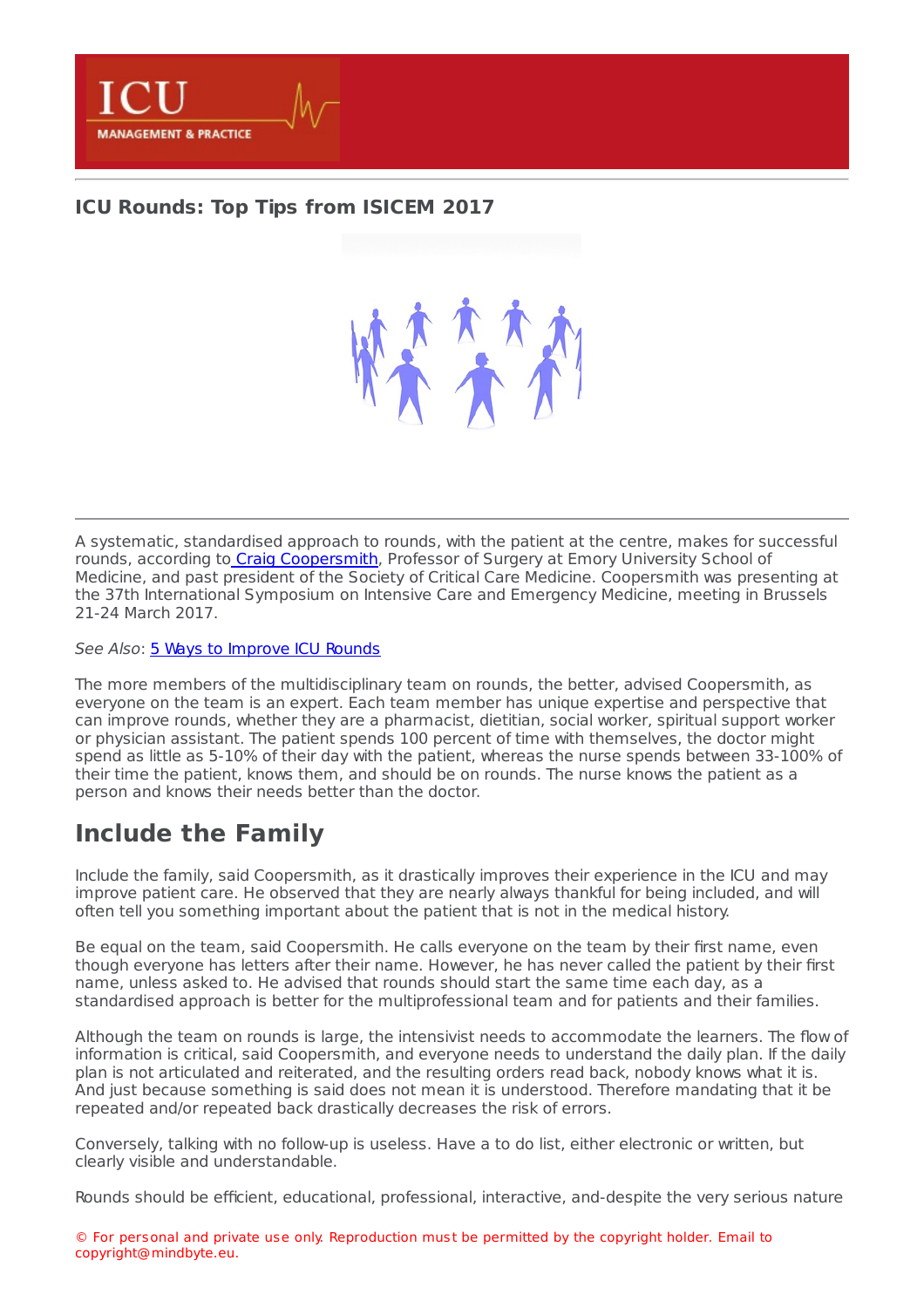

## **ICU [Rounds:](https://healthmanagement.org/s/icu-rounds-top-tips-from-isicem-2017) Top Tips from ISICEM 2017**

A systematic, standardised approach to rounds, with the patient at the centre, makes for successful rounds, according to Craig [Coopersmith](http://www.surgery.emory.edu/about-us/faculty_directory/faculty_profile_craig_coopersmith.htm), Professor of Surgery at Emory University School of Medicine, and past president of the Society of Critical Care Medicine. Coopersmith was presenting at the 37th International Symposium on Intensive Care and Emergency Medicine, meeting in Brussels 21-24 March 2017.

See Also: 5 Ways to [Improve](https://healthmanagement.org/c/icu/news/5-ways-to-improve-icu-rounds) ICU Rounds

The more members of the multidisciplinary team on rounds, the better, advised Coopersmith, as everyone on the team is an expert. Each team member has unique expertise and perspective that can improve rounds, whether they are a pharmacist, dietitian, social worker, spiritual support worker or physician assistant. The patient spends 100 percent of time with themselves, the doctor might spend as little as 5-10% of their day with the patient, whereas the nurse spends between 33-100% of their time the patient, knows them, and should be on rounds. The nurse knows the patient as a person and knows their needs better than the doctor.

## **Include the Family**

Include the family, said Coopersmith, as it drastically improves their experience in the ICU and may improve patient care. He observed that they are nearly always thankful for being included, and will often tell you something important about the patient that is not in the medical history.

Be equal on the team, said Coopersmith. He calls everyone on the team by their first name, even though everyone has letters after their name. However, he has never called the patient by their first name, unless asked to. He advised that rounds should start the same time each day, as a standardised approach is better for the multiprofessional team and for patients and their families.

Although the team on rounds is large, the intensivist needs to accommodate the learners. The flow of information is critical, said Coopersmith, and everyone needs to understand the daily plan. If the daily plan is not articulated and reiterated, and the resulting orders read back, nobody knows what it is. And just because something is said does not mean it is understood. Therefore mandating that it be repeated and/or repeated back drastically decreases the risk of errors.

Conversely, talking with no follow-up is useless. Have a to do list, either electronic or written, but clearly visible and understandable.

Rounds should be efficient, educational, professional, interactive, and-despite the very serious nature

© For personal and private use only. Reproduction must be permitted by the copyright holder. Email to copyright@mindbyte.eu.